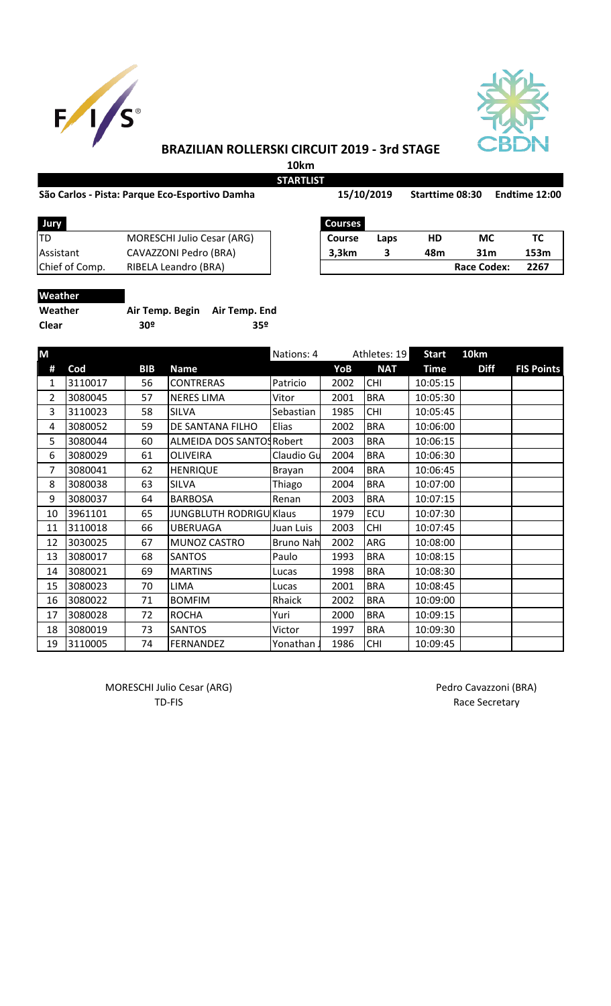



## **BRAZILIAN ROLLERSKI CIRCUIT 2019 - 3rd STAGE**

**10km**

**STARTLIST**

Starttime 08:30 Endtime 12:00

| <b>Jury</b>      |                                   | <b>Courses</b> |      |     |                    |      |
|------------------|-----------------------------------|----------------|------|-----|--------------------|------|
| ltd              | <b>MORESCHI Julio Cesar (ARG)</b> | Course         | Laps | HD  | МC                 |      |
| <b>Assistant</b> | CAVAZZONI Pedro (BRA)             | 3,3km          |      | 48m | 31m                | 153m |
| Chief of Comp.   | RIBELA Leandro (BRA)              |                |      |     | <b>Race Codex:</b> | 2267 |
|                  |                                   |                |      |     |                    |      |

| Jury           |                                   | <b>Courses</b> |      |     |             |      |
|----------------|-----------------------------------|----------------|------|-----|-------------|------|
| TD             | <b>MORESCHI Julio Cesar (ARG)</b> | Course         | Laps | HD  | МC          |      |
| Assistant      | CAVAZZONI Pedro (BRA)             | 3,3km          |      | 48m | 31m         | 153m |
| Chief of Comp. | RIBELA Leandro (BRA)              |                |      |     | Race Codex: | 2267 |

|  |  |  | Weather |  |  |
|--|--|--|---------|--|--|
|  |  |  |         |  |  |

| Weather | Air Temp. Begin Air Temp. End |     |
|---------|-------------------------------|-----|
| Clear   | 30º                           | 359 |

| M  |         |            |                                | Nations: 4       |      | Athletes: 19 | <b>Start</b> | 10km        |                   |
|----|---------|------------|--------------------------------|------------------|------|--------------|--------------|-------------|-------------------|
| #  | Cod     | <b>BIB</b> | <b>Name</b>                    |                  | YoB  | <b>NAT</b>   | <b>Time</b>  | <b>Diff</b> | <b>FIS Points</b> |
| 1  | 3110017 | 56         | <b>CONTRERAS</b>               | Patricio         | 2002 | <b>CHI</b>   | 10:05:15     |             |                   |
| 2  | 3080045 | 57         | <b>NERES LIMA</b>              | Vitor            | 2001 | <b>BRA</b>   | 10:05:30     |             |                   |
| 3  | 3110023 | 58         | SILVA                          | Sebastian        | 1985 | <b>CHI</b>   | 10:05:45     |             |                   |
| 4  | 3080052 | 59         | DE SANTANA FILHO               | Elias            | 2002 | <b>BRA</b>   | 10:06:00     |             |                   |
| 5  | 3080044 | 60         | ALMEIDA DOS SANTOS Robert      |                  | 2003 | <b>BRA</b>   | 10:06:15     |             |                   |
| 6  | 3080029 | 61         | <b>OLIVEIRA</b>                | Claudio Gu       | 2004 | <b>BRA</b>   | 10:06:30     |             |                   |
| 7  | 3080041 | 62         | <b>HENRIQUE</b>                | Brayan           | 2004 | <b>BRA</b>   | 10:06:45     |             |                   |
| 8  | 3080038 | 63         | <b>SILVA</b>                   | Thiago           | 2004 | <b>BRA</b>   | 10:07:00     |             |                   |
| 9  | 3080037 | 64         | <b>BARBOSA</b>                 | Renan            | 2003 | <b>BRA</b>   | 10:07:15     |             |                   |
| 10 | 3961101 | 65         | <b>JUNGBLUTH RODRIGU Klaus</b> |                  | 1979 | ECU          | 10:07:30     |             |                   |
| 11 | 3110018 | 66         | <b>UBERUAGA</b>                | Juan Luis        | 2003 | <b>CHI</b>   | 10:07:45     |             |                   |
| 12 | 3030025 | 67         | MUNOZ CASTRO                   | <b>Bruno Nah</b> | 2002 | ARG          | 10:08:00     |             |                   |
| 13 | 3080017 | 68         | <b>SANTOS</b>                  | Paulo            | 1993 | <b>BRA</b>   | 10:08:15     |             |                   |
| 14 | 3080021 | 69         | <b>MARTINS</b>                 | Lucas            | 1998 | <b>BRA</b>   | 10:08:30     |             |                   |
| 15 | 3080023 | 70         | <b>LIMA</b>                    | Lucas            | 2001 | <b>BRA</b>   | 10:08:45     |             |                   |
| 16 | 3080022 | 71         | <b>BOMFIM</b>                  | Rhaick           | 2002 | <b>BRA</b>   | 10:09:00     |             |                   |
| 17 | 3080028 | 72         | <b>ROCHA</b>                   | Yuri             | 2000 | <b>BRA</b>   | 10:09:15     |             |                   |
| 18 | 3080019 | 73         | <b>SANTOS</b>                  | Victor           | 1997 | <b>BRA</b>   | 10:09:30     |             |                   |
| 19 | 3110005 | 74         | <b>FERNANDEZ</b>               | Yonathan         | 1986 | <b>CHI</b>   | 10:09:45     |             |                   |

MORESCHI Julio Cesar (ARG) MORESCHI Julio Cesar (ARG)

TD-FIS Race Secretary